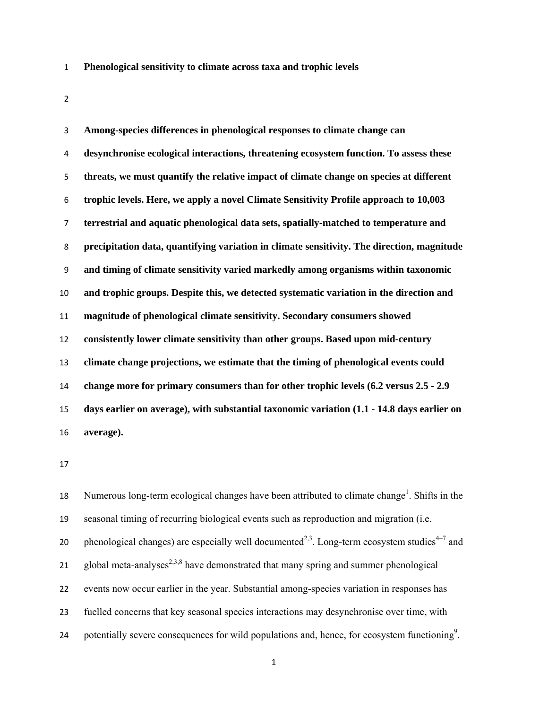- **Phenological sensitivity to climate across taxa and trophic levels**
- 

**Among-species differences in phenological responses to climate change can desynchronise ecological interactions, threatening ecosystem function. To assess these threats, we must quantify the relative impact of climate change on species at different trophic levels. Here, we apply a novel Climate Sensitivity Profile approach to 10,003 terrestrial and aquatic phenological data sets, spatially-matched to temperature and precipitation data, quantifying variation in climate sensitivity. The direction, magnitude and timing of climate sensitivity varied markedly among organisms within taxonomic and trophic groups. Despite this, we detected systematic variation in the direction and magnitude of phenological climate sensitivity. Secondary consumers showed consistently lower climate sensitivity than other groups. Based upon mid-century climate change projections, we estimate that the timing of phenological events could change more for primary consumers than for other trophic levels (6.2 versus 2.5 - 2.9 days earlier on average), with substantial taxonomic variation (1.1 - 14.8 days earlier on average).** 

18 Numerous long-term ecological changes have been attributed to climate change<sup>1</sup>. Shifts in the seasonal timing of recurring biological events such as reproduction and migration (i.e. 20 phenological changes) are especially well documented<sup>2,3</sup>. Long-term ecosystem studies<sup>4–7</sup> and 21 global meta-analyses<sup>2,3,8</sup> have demonstrated that many spring and summer phenological events now occur earlier in the year. Substantial among-species variation in responses has fuelled concerns that key seasonal species interactions may desynchronise over time, with 24 potentially severe consequences for wild populations and, hence, for ecosystem functioning<sup>9</sup>.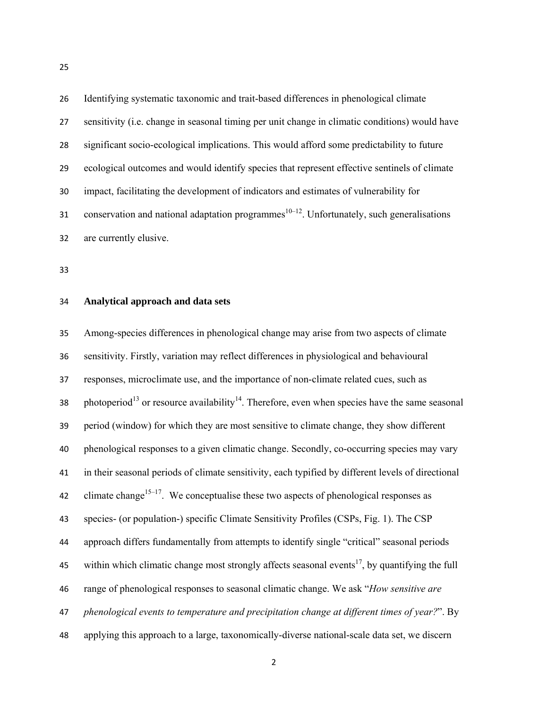Identifying systematic taxonomic and trait-based differences in phenological climate sensitivity (i.e. change in seasonal timing per unit change in climatic conditions) would have significant socio-ecological implications. This would afford some predictability to future ecological outcomes and would identify species that represent effective sentinels of climate impact, facilitating the development of indicators and estimates of vulnerability for 31 conservation and national adaptation programmes <sup> $10-12$ </sup>. Unfortunately, such generalisations are currently elusive.

#### **Analytical approach and data sets**

Among-species differences in phenological change may arise from two aspects of climate sensitivity. Firstly, variation may reflect differences in physiological and behavioural responses, microclimate use, and the importance of non-climate related cues, such as 38 photoperiod<sup>13</sup> or resource availability<sup>14</sup>. Therefore, even when species have the same seasonal period (window) for which they are most sensitive to climate change, they show different phenological responses to a given climatic change. Secondly, co-occurring species may vary in their seasonal periods of climate sensitivity, each typified by different levels of directional 42 climate change<sup>15–17</sup>. We conceptualise these two aspects of phenological responses as species- (or population-) specific Climate Sensitivity Profiles (CSPs, Fig. 1). The CSP approach differs fundamentally from attempts to identify single "critical" seasonal periods 45 within which climatic change most strongly affects seasonal events<sup>17</sup>, by quantifying the full range of phenological responses to seasonal climatic change. We ask "*How sensitive are phenological events to temperature and precipitation change at different times of year?*". By applying this approach to a large, taxonomically-diverse national-scale data set, we discern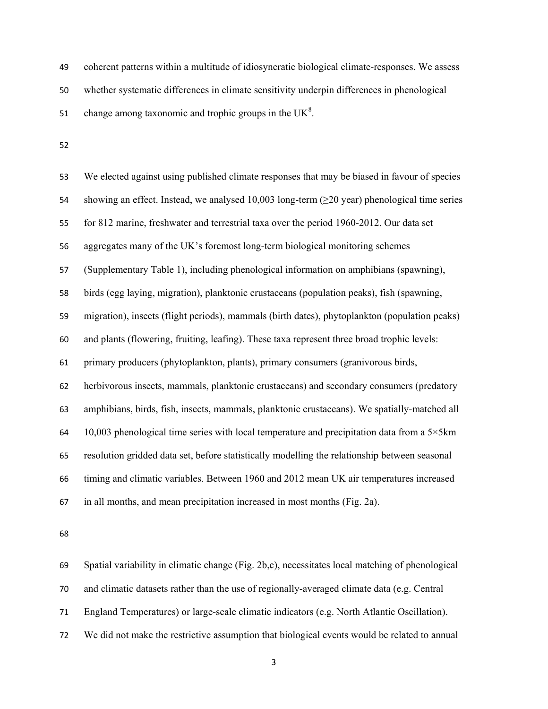coherent patterns within a multitude of idiosyncratic biological climate-responses. We assess whether systematic differences in climate sensitivity underpin differences in phenological 51 change among taxonomic and trophic groups in the  $UK<sup>8</sup>$ .

We elected against using published climate responses that may be biased in favour of species 54 showing an effect. Instead, we analysed 10,003 long-term ( $\geq$ 20 year) phenological time series for 812 marine, freshwater and terrestrial taxa over the period 1960-2012. Our data set aggregates many of the UK's foremost long-term biological monitoring schemes (Supplementary Table 1), including phenological information on amphibians (spawning), birds (egg laying, migration), planktonic crustaceans (population peaks), fish (spawning, migration), insects (flight periods), mammals (birth dates), phytoplankton (population peaks) and plants (flowering, fruiting, leafing). These taxa represent three broad trophic levels: primary producers (phytoplankton, plants), primary consumers (granivorous birds, herbivorous insects, mammals, planktonic crustaceans) and secondary consumers (predatory amphibians, birds, fish, insects, mammals, planktonic crustaceans). We spatially-matched all 64 10,003 phenological time series with local temperature and precipitation data from a  $5\times5km$ resolution gridded data set, before statistically modelling the relationship between seasonal timing and climatic variables. Between 1960 and 2012 mean UK air temperatures increased in all months, and mean precipitation increased in most months (Fig. 2a).

Spatial variability in climatic change (Fig. 2b,c), necessitates local matching of phenological and climatic datasets rather than the use of regionally-averaged climate data (e.g. Central England Temperatures) or large-scale climatic indicators (e.g. North Atlantic Oscillation). We did not make the restrictive assumption that biological events would be related to annual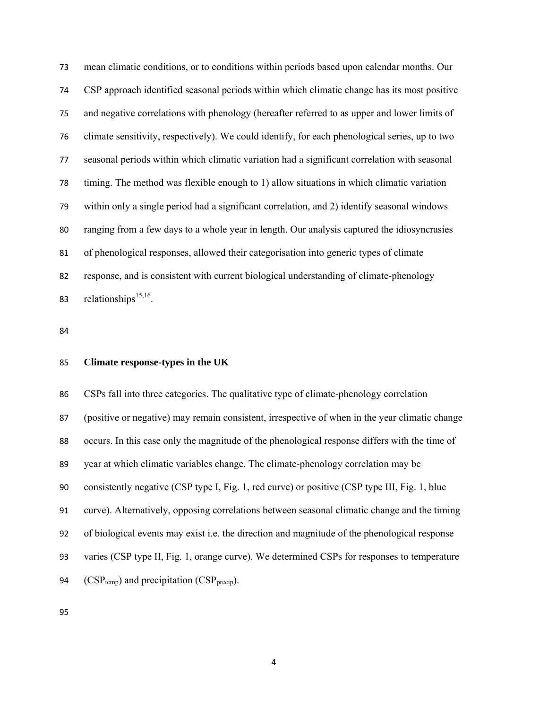mean climatic conditions, or to conditions within periods based upon calendar months. Our CSP approach identified seasonal periods within which climatic change has its most positive and negative correlations with phenology (hereafter referred to as upper and lower limits of climate sensitivity, respectively). We could identify, for each phenological series, up to two seasonal periods within which climatic variation had a significant correlation with seasonal timing. The method was flexible enough to 1) allow situations in which climatic variation within only a single period had a significant correlation, and 2) identify seasonal windows ranging from a few days to a whole year in length. Our analysis captured the idiosyncrasies of phenological responses, allowed their categorisation into generic types of climate response, and is consistent with current biological understanding of climate-phenology 83 relationships $15,16$ .

# **Climate response-types in the UK**

CSPs fall into three categories. The qualitative type of climate-phenology correlation (positive or negative) may remain consistent, irrespective of when in the year climatic change occurs. In this case only the magnitude of the phenological response differs with the time of year at which climatic variables change. The climate-phenology correlation may be consistently negative (CSP type I, Fig. 1, red curve) or positive (CSP type III, Fig. 1, blue curve). Alternatively, opposing correlations between seasonal climatic change and the timing of biological events may exist i.e. the direction and magnitude of the phenological response varies (CSP type II, Fig. 1, orange curve). We determined CSPs for responses to temperature 94 ( $CSP_{temp}$ ) and precipitation ( $CSP_{precup}$ ).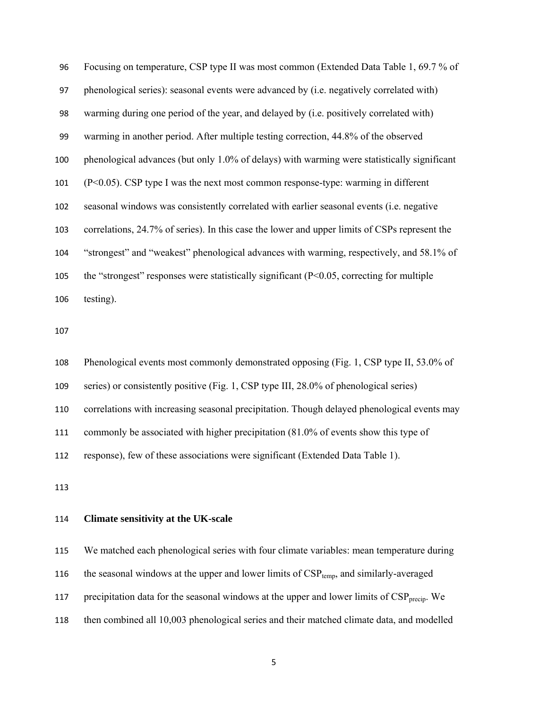Focusing on temperature, CSP type II was most common (Extended Data Table 1, 69.7 % of phenological series): seasonal events were advanced by (i.e. negatively correlated with) warming during one period of the year, and delayed by (i.e. positively correlated with) warming in another period. After multiple testing correction, 44.8% of the observed phenological advances (but only 1.0% of delays) with warming were statistically significant (P<0.05). CSP type I was the next most common response-type: warming in different seasonal windows was consistently correlated with earlier seasonal events (i.e. negative correlations, 24.7% of series). In this case the lower and upper limits of CSPs represent the "strongest" and "weakest" phenological advances with warming, respectively, and 58.1% of the "strongest" responses were statistically significant (P<0.05, correcting for multiple testing).

Phenological events most commonly demonstrated opposing (Fig. 1, CSP type II, 53.0% of series) or consistently positive (Fig. 1, CSP type III, 28.0% of phenological series) correlations with increasing seasonal precipitation. Though delayed phenological events may commonly be associated with higher precipitation (81.0% of events show this type of response), few of these associations were significant (Extended Data Table 1).

# **Climate sensitivity at the UK-scale**

We matched each phenological series with four climate variables: mean temperature during 116 the seasonal windows at the upper and lower limits of  $CSP_{temp}$ , and similarly-averaged 117 precipitation data for the seasonal windows at the upper and lower limits of  $CSP<sub>precip</sub>$ . We then combined all 10,003 phenological series and their matched climate data, and modelled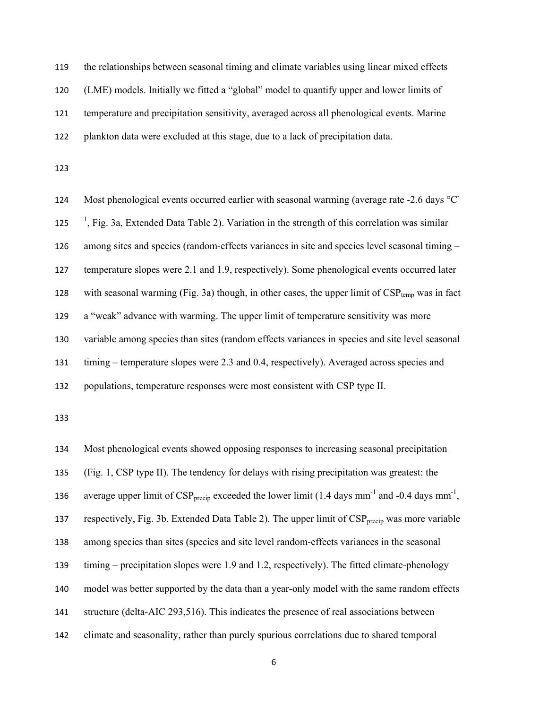the relationships between seasonal timing and climate variables using linear mixed effects (LME) models. Initially we fitted a "global" model to quantify upper and lower limits of temperature and precipitation sensitivity, averaged across all phenological events. Marine plankton data were excluded at this stage, due to a lack of precipitation data.

124 Most phenological events occurred earlier with seasonal warming (average rate -2.6 days °C<sup>-</sup>  $\frac{1}{1}$ , Fig. 3a, Extended Data Table 2). Variation in the strength of this correlation was similar among sites and species (random-effects variances in site and species level seasonal timing – temperature slopes were 2.1 and 1.9, respectively). Some phenological events occurred later 128 with seasonal warming (Fig. 3a) though, in other cases, the upper limit of  $CSP_{temp}$  was in fact a "weak" advance with warming. The upper limit of temperature sensitivity was more variable among species than sites (random effects variances in species and site level seasonal timing – temperature slopes were 2.3 and 0.4, respectively). Averaged across species and populations, temperature responses were most consistent with CSP type II.

Most phenological events showed opposing responses to increasing seasonal precipitation (Fig. 1, CSP type II). The tendency for delays with rising precipitation was greatest: the 136 average upper limit of  $CSP_{\text{precip}}$  exceeded the lower limit (1.4 days mm<sup>-1</sup> and -0.4 days mm<sup>-1</sup>, 137 respectively, Fig. 3b, Extended Data Table 2). The upper limit of  $CSP<sub>precin</sub>$  was more variable among species than sites (species and site level random-effects variances in the seasonal timing – precipitation slopes were 1.9 and 1.2, respectively). The fitted climate-phenology model was better supported by the data than a year-only model with the same random effects structure (delta-AIC 293,516). This indicates the presence of real associations between climate and seasonality, rather than purely spurious correlations due to shared temporal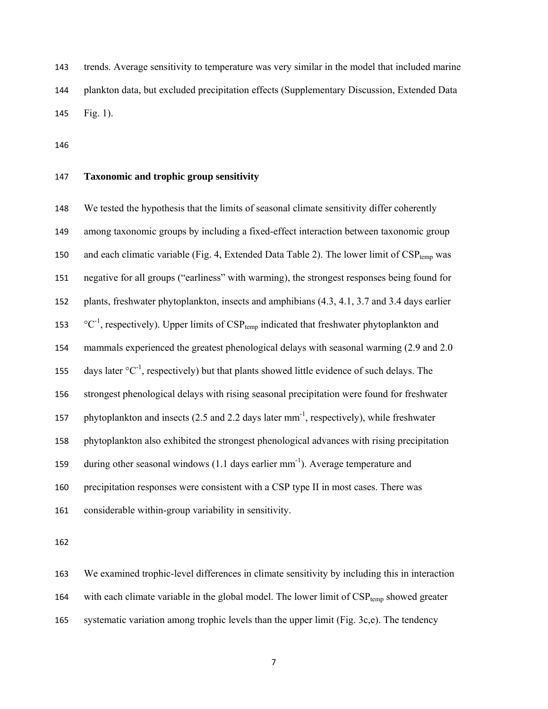trends. Average sensitivity to temperature was very similar in the model that included marine plankton data, but excluded precipitation effects (Supplementary Discussion, Extended Data Fig. 1).

# **Taxonomic and trophic group sensitivity**

We tested the hypothesis that the limits of seasonal climate sensitivity differ coherently among taxonomic groups by including a fixed-effect interaction between taxonomic group 150 and each climatic variable (Fig. 4, Extended Data Table 2). The lower limit of  $CSP_{temp}$  was negative for all groups ("earliness" with warming), the strongest responses being found for plants, freshwater phytoplankton, insects and amphibians (4.3, 4.1, 3.7 and 3.4 days earlier  $\degree$ C<sup>-1</sup>, respectively). Upper limits of CSP<sub>temp</sub> indicated that freshwater phytoplankton and mammals experienced the greatest phenological delays with seasonal warming (2.9 and 2.0 155 days later  ${}^{\circ}C^{-1}$ , respectively) but that plants showed little evidence of such delays. The strongest phenological delays with rising seasonal precipitation were found for freshwater 157 phytoplankton and insects  $(2.5 \text{ and } 2.2 \text{ days later mm}^{-1})$ , respectively), while freshwater phytoplankton also exhibited the strongest phenological advances with rising precipitation 159 during other seasonal windows  $(1.1 \text{ days earlier mm}^{-1})$ . Average temperature and precipitation responses were consistent with a CSP type II in most cases. There was considerable within-group variability in sensitivity.

We examined trophic-level differences in climate sensitivity by including this in interaction 164 with each climate variable in the global model. The lower limit of  $CSP_{temp}$  showed greater systematic variation among trophic levels than the upper limit (Fig. 3c,e). The tendency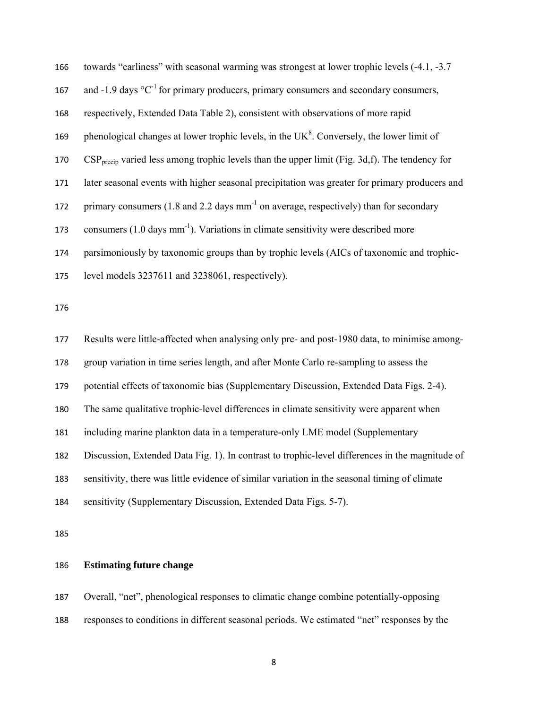| 166 | towards "earliness" with seasonal warming was strongest at lower trophic levels (-4.1, -3.7)             |  |  |
|-----|----------------------------------------------------------------------------------------------------------|--|--|
| 167 | and -1.9 days $^{\circ}C^{-1}$ for primary producers, primary consumers and secondary consumers,         |  |  |
| 168 | respectively, Extended Data Table 2), consistent with observations of more rapid                         |  |  |
| 169 | phenological changes at lower trophic levels, in the $UK8$ . Conversely, the lower limit of              |  |  |
| 170 | $CSP_{\text{mecip}}$ varied less among trophic levels than the upper limit (Fig. 3d,f). The tendency for |  |  |
| 171 | later seasonal events with higher seasonal precipitation was greater for primary producers and           |  |  |
| 172 | primary consumers (1.8 and 2.2 days mm <sup>-1</sup> on average, respectively) than for secondary        |  |  |
| 173 | consumers $(1.0 \text{ days mm}^{-1})$ . Variations in climate sensitivity were described more           |  |  |
| 174 | parsimoniously by taxonomic groups than by trophic levels (AICs of taxonomic and trophic-                |  |  |
| 175 | level models 3237611 and 3238061, respectively).                                                         |  |  |
| 176 |                                                                                                          |  |  |
| 177 | Results were little-affected when analysing only pre- and post-1980 data, to minimise among-             |  |  |
| 178 | group variation in time series length, and after Monte Carlo re-sampling to assess the                   |  |  |
| 179 | potential effects of taxonomic bias (Supplementary Discussion, Extended Data Figs. 2-4).                 |  |  |
| 180 | The same qualitative trophic-level differences in climate sensitivity were apparent when                 |  |  |
| 181 | including marine plankton data in a temperature-only LME model (Supplementary                            |  |  |
| 182 | Discussion, Extended Data Fig. 1). In contrast to trophic-level differences in the magnitude of          |  |  |
| 183 | sensitivity, there was little evidence of similar variation in the seasonal timing of climate            |  |  |
| 184 |                                                                                                          |  |  |
|     | sensitivity (Supplementary Discussion, Extended Data Figs. 5-7).                                         |  |  |

# **Estimating future change**

Overall, "net", phenological responses to climatic change combine potentially-opposing responses to conditions in different seasonal periods. We estimated "net" responses by the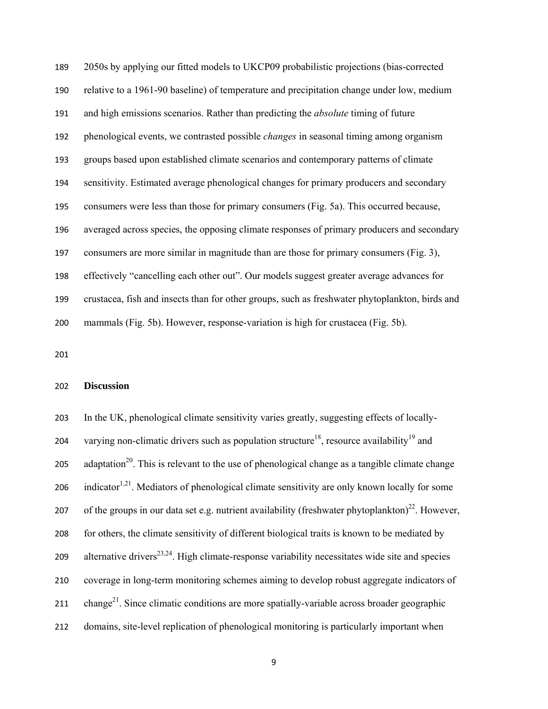2050s by applying our fitted models to UKCP09 probabilistic projections (bias-corrected relative to a 1961-90 baseline) of temperature and precipitation change under low, medium and high emissions scenarios. Rather than predicting the *absolute* timing of future phenological events, we contrasted possible *changes* in seasonal timing among organism groups based upon established climate scenarios and contemporary patterns of climate sensitivity. Estimated average phenological changes for primary producers and secondary consumers were less than those for primary consumers (Fig. 5a). This occurred because, averaged across species, the opposing climate responses of primary producers and secondary consumers are more similar in magnitude than are those for primary consumers (Fig. 3), effectively "cancelling each other out". Our models suggest greater average advances for crustacea, fish and insects than for other groups, such as freshwater phytoplankton, birds and mammals (Fig. 5b). However, response-variation is high for crustacea (Fig. 5b).

#### **Discussion**

In the UK, phenological climate sensitivity varies greatly, suggesting effects of locally-204 varying non-climatic drivers such as population structure<sup>18</sup>, resource availability<sup>19</sup> and 205 adaptation<sup>20</sup>. This is relevant to the use of phenological change as a tangible climate change 206 indicator<sup>1,21</sup>. Mediators of phenological climate sensitivity are only known locally for some 207 of the groups in our data set e.g. nutrient availability (freshwater phytoplankton)<sup>22</sup>. However, for others, the climate sensitivity of different biological traits is known to be mediated by 209 alternative drivers<sup>23,24</sup>. High climate-response variability necessitates wide site and species coverage in long-term monitoring schemes aiming to develop robust aggregate indicators of 211 change<sup>21</sup>. Since climatic conditions are more spatially-variable across broader geographic domains, site-level replication of phenological monitoring is particularly important when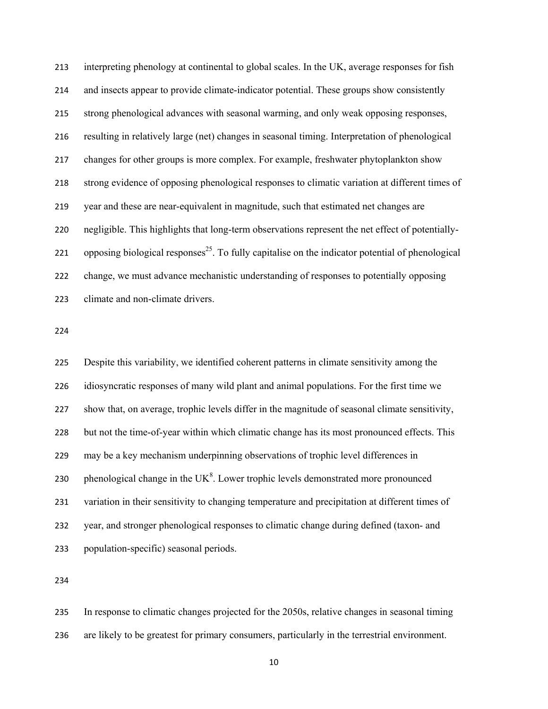interpreting phenology at continental to global scales. In the UK, average responses for fish and insects appear to provide climate-indicator potential. These groups show consistently strong phenological advances with seasonal warming, and only weak opposing responses, resulting in relatively large (net) changes in seasonal timing. Interpretation of phenological changes for other groups is more complex. For example, freshwater phytoplankton show strong evidence of opposing phenological responses to climatic variation at different times of year and these are near-equivalent in magnitude, such that estimated net changes are negligible. This highlights that long-term observations represent the net effect of potentially-221 opposing biological responses<sup>25</sup>. To fully capitalise on the indicator potential of phenological change, we must advance mechanistic understanding of responses to potentially opposing climate and non-climate drivers.

Despite this variability, we identified coherent patterns in climate sensitivity among the idiosyncratic responses of many wild plant and animal populations. For the first time we show that, on average, trophic levels differ in the magnitude of seasonal climate sensitivity, but not the time-of-year within which climatic change has its most pronounced effects. This may be a key mechanism underpinning observations of trophic level differences in 230 . phenological change in the  $UK<sup>8</sup>$ . Lower trophic levels demonstrated more pronounced variation in their sensitivity to changing temperature and precipitation at different times of year, and stronger phenological responses to climatic change during defined (taxon- and population-specific) seasonal periods.

In response to climatic changes projected for the 2050s, relative changes in seasonal timing are likely to be greatest for primary consumers, particularly in the terrestrial environment.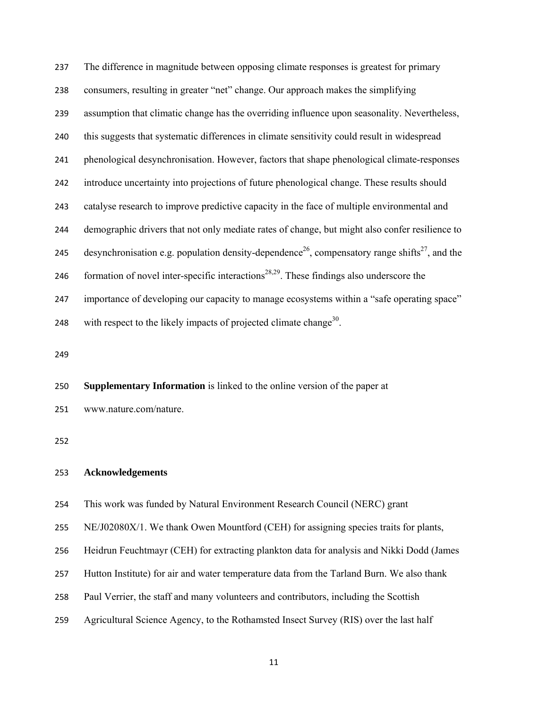The difference in magnitude between opposing climate responses is greatest for primary consumers, resulting in greater "net" change. Our approach makes the simplifying assumption that climatic change has the overriding influence upon seasonality. Nevertheless, this suggests that systematic differences in climate sensitivity could result in widespread phenological desynchronisation. However, factors that shape phenological climate-responses introduce uncertainty into projections of future phenological change. These results should catalyse research to improve predictive capacity in the face of multiple environmental and demographic drivers that not only mediate rates of change, but might also confer resilience to desynchronisation e.g. population density-dependence<sup>26</sup>, compensatory range shifts<sup>27</sup>, and the 246 formation of novel inter-specific interactions<sup>28,29</sup>. These findings also underscore the importance of developing our capacity to manage ecosystems within a "safe operating space" 248 with respect to the likely impacts of projected climate change<sup>30</sup>.

**Supplementary Information** is linked to the online version of the paper at

www.nature.com/nature.

# **Acknowledgements**

This work was funded by Natural Environment Research Council (NERC) grant

NE/J02080X/1. We thank Owen Mountford (CEH) for assigning species traits for plants,

Heidrun Feuchtmayr (CEH) for extracting plankton data for analysis and Nikki Dodd (James

- Hutton Institute) for air and water temperature data from the Tarland Burn. We also thank
- Paul Verrier, the staff and many volunteers and contributors, including the Scottish
- Agricultural Science Agency, to the Rothamsted Insect Survey (RIS) over the last half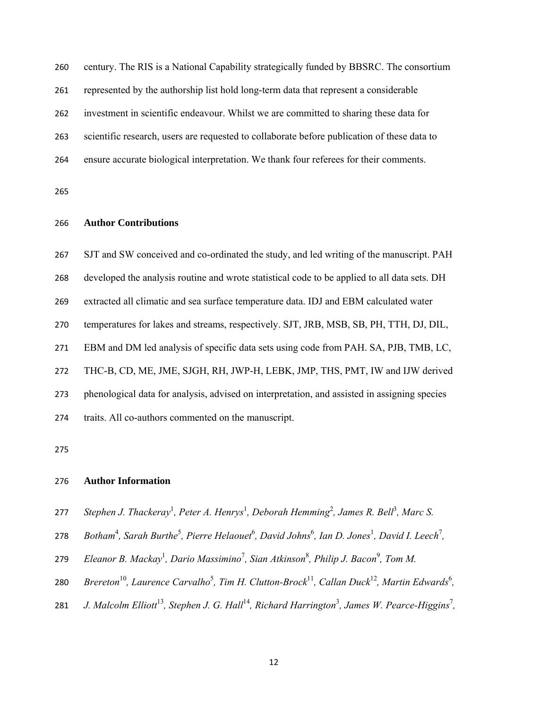century. The RIS is a National Capability strategically funded by BBSRC. The consortium

represented by the authorship list hold long-term data that represent a considerable

investment in scientific endeavour. Whilst we are committed to sharing these data for

scientific research, users are requested to collaborate before publication of these data to

ensure accurate biological interpretation. We thank four referees for their comments.

# **Author Contributions**

SJT and SW conceived and co-ordinated the study, and led writing of the manuscript. PAH developed the analysis routine and wrote statistical code to be applied to all data sets. DH extracted all climatic and sea surface temperature data. IDJ and EBM calculated water temperatures for lakes and streams, respectively. SJT, JRB, MSB, SB, PH, TTH, DJ, DIL, EBM and DM led analysis of specific data sets using code from PAH. SA, PJB, TMB, LC, THC-B, CD, ME, JME, SJGH, RH, JWP-H, LEBK, JMP, THS, PMT, IW and IJW derived phenological data for analysis, advised on interpretation, and assisted in assigning species traits. All co-authors commented on the manuscript.

#### **Author Information**

- 277 Stephen J. Thackeray<sup>1</sup>, Peter A. Henrys<sup>1</sup>, Deborah Hemming<sup>2</sup>, James R. Bell<sup>3</sup>, Marc S.
- 278 Botham<sup>4</sup>, Sarah Burthe<sup>5</sup>, Pierre Helaouet<sup>6</sup>, David Johns<sup>6</sup>, Ian D. Jones<sup>1</sup>, David I. Leech<sup>7</sup>,
- 279 Eleanor B. Mackay<sup>1</sup>, Dario Massimino<sup>7</sup>, Sian Atkinson<sup>8</sup>, Philip J. Bacon<sup>9</sup>, Tom M.
- 280 Brereton<sup>10</sup>, Laurence Carvalho<sup>5</sup>, Tim H. Clutton-Brock<sup>11</sup>, Callan Duck<sup>12</sup>, Martin Edwards<sup>6</sup>,
- *J. Malcolm Elliott*<sup>13</sup>, Stephen J. G. Hall<sup>14</sup>, Richard Harrington<sup>3</sup>, James W. Pearce-Higgins<sup>7</sup>,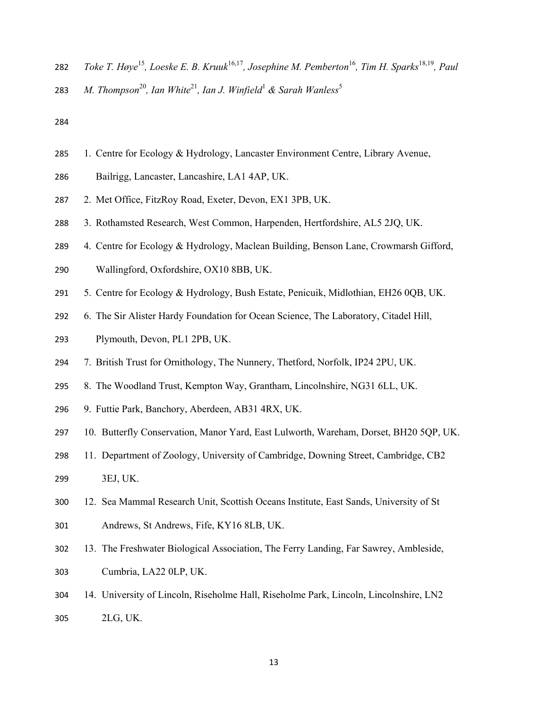- 282 *Toke T. Høye*<sup>15</sup>, Loeske E. B. Kruuk<sup>16,17</sup>, Josephine M. Pemberton<sup>16</sup>, Tim H. Sparks<sup>18,19</sup>, Paul
- 283 M. Thompson<sup>20</sup>, Ian White<sup>21</sup>, Ian J. Winfield<sup>1</sup> & Sarah Wanless<sup>5</sup>

- 1. Centre for Ecology & Hydrology, Lancaster Environment Centre, Library Avenue,
- Bailrigg, Lancaster, Lancashire, LA1 4AP, UK.
- 2. Met Office, FitzRoy Road, Exeter, Devon, EX1 3PB, UK.
- 3. Rothamsted Research, West Common, Harpenden, Hertfordshire, AL5 2JQ, UK.
- 4. Centre for Ecology & Hydrology, Maclean Building, Benson Lane, Crowmarsh Gifford,
- Wallingford, Oxfordshire, OX10 8BB, UK.
- 5. Centre for Ecology & Hydrology, Bush Estate, Penicuik, Midlothian, EH26 0QB, UK.
- 6. The Sir Alister Hardy Foundation for Ocean Science, The Laboratory, Citadel Hill,
- Plymouth, Devon, PL1 2PB, UK.
- 7. British Trust for Ornithology, The Nunnery, Thetford, Norfolk, IP24 2PU, UK.
- 8. The Woodland Trust, Kempton Way, Grantham, Lincolnshire, NG31 6LL, UK.
- 9. Futtie Park, Banchory, Aberdeen, AB31 4RX, UK.
- 10. Butterfly Conservation, Manor Yard, East Lulworth, Wareham, Dorset, BH20 5QP, UK.
- 11. Department of Zoology, University of Cambridge, Downing Street, Cambridge, CB2
- 3EJ, UK.
- 12. Sea Mammal Research Unit, Scottish Oceans Institute, East Sands, University of St
- Andrews, St Andrews, Fife, KY16 8LB, UK.
- 13. The Freshwater Biological Association, The Ferry Landing, Far Sawrey, Ambleside, Cumbria, LA22 0LP, UK.
- 14. University of Lincoln, Riseholme Hall, Riseholme Park, Lincoln, Lincolnshire, LN2 2LG, UK.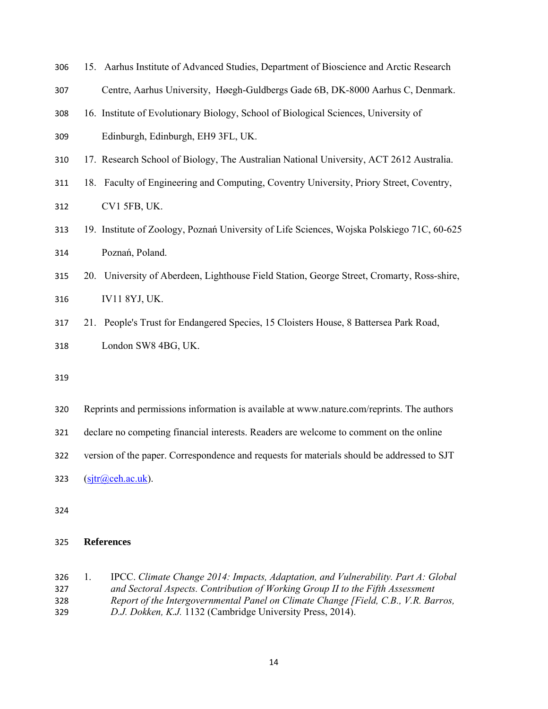- 15. Aarhus Institute of Advanced Studies, Department of Bioscience and Arctic Research
- Centre, Aarhus University, Høegh-Guldbergs Gade 6B, DK-8000 Aarhus C, Denmark.
- 16. Institute of Evolutionary Biology, School of Biological Sciences, University of Edinburgh, Edinburgh, EH9 3FL, UK.
- 17. Research School of Biology, The Australian National University, ACT 2612 Australia.
- 18. Faculty of Engineering and Computing, Coventry University, Priory Street, Coventry,
- CV1 5FB, UK.
- 19. Institute of Zoology, Poznań University of Life Sciences, Wojska Polskiego 71C, 60-625 Poznań, Poland.
- 20. University of Aberdeen, Lighthouse Field Station, George Street, Cromarty, Ross-shire, IV11 8YJ, UK.
- 21. People's Trust for Endangered Species, 15 Cloisters House, 8 Battersea Park Road, London SW8 4BG, UK.
- 
- Reprints and permissions information is available at www.nature.com/reprints. The authors
- declare no competing financial interests. Readers are welcome to comment on the online
- version of the paper. Correspondence and requests for materials should be addressed to SJT
- 323  $(sitr@ceh.ac.uk)$ .
- 

## **References**

1. IPCC. *Climate Change 2014: Impacts, Adaptation, and Vulnerability. Part A: Global and Sectoral Aspects. Contribution of Working Group II to the Fifth Assessment Report of the Intergovernmental Panel on Climate Change [Field, C.B., V.R. Barros, D.J. Dokken, K.J.* 1132 (Cambridge University Press, 2014).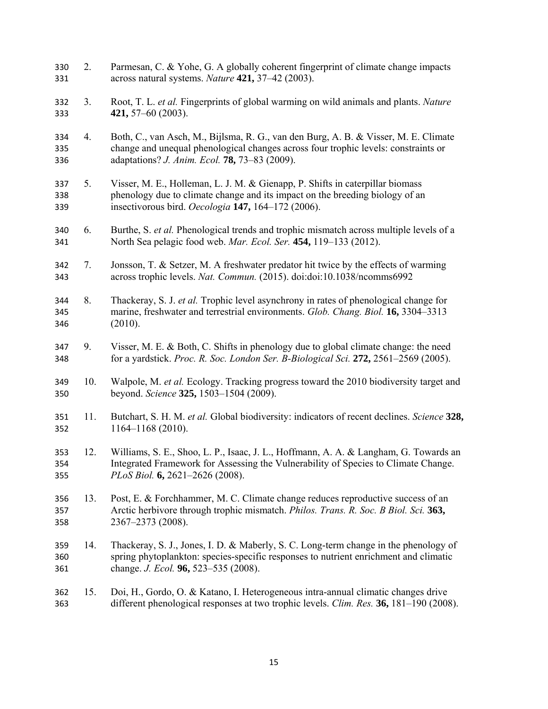2. Parmesan, C. & Yohe, G. A globally coherent fingerprint of climate change impacts across natural systems. *Nature* **421,** 37–42 (2003). 3. Root, T. L. *et al.* Fingerprints of global warming on wild animals and plants. *Nature* **421,** 57–60 (2003). 4. Both, C., van Asch, M., Bijlsma, R. G., van den Burg, A. B. & Visser, M. E. Climate change and unequal phenological changes across four trophic levels: constraints or adaptations? *J. Anim. Ecol.* **78,** 73–83 (2009). 5. Visser, M. E., Holleman, L. J. M. & Gienapp, P. Shifts in caterpillar biomass phenology due to climate change and its impact on the breeding biology of an insectivorous bird. *Oecologia* **147,** 164–172 (2006). 6. Burthe, S. *et al.* Phenological trends and trophic mismatch across multiple levels of a North Sea pelagic food web. *Mar. Ecol. Ser.* **454,** 119–133 (2012). 7. Jonsson, T. & Setzer, M. A freshwater predator hit twice by the effects of warming across trophic levels. *Nat. Commun.* (2015). doi:doi:10.1038/ncomms6992 8. Thackeray, S. J. *et al.* Trophic level asynchrony in rates of phenological change for marine, freshwater and terrestrial environments. *Glob. Chang. Biol.* **16,** 3304–3313 (2010). 9. Visser, M. E. & Both, C. Shifts in phenology due to global climate change: the need for a yardstick. *Proc. R. Soc. London Ser. B-Biological Sci.* **272,** 2561–2569 (2005). 10. Walpole, M. *et al.* Ecology. Tracking progress toward the 2010 biodiversity target and beyond. *Science* **325,** 1503–1504 (2009). 11. Butchart, S. H. M. *et al.* Global biodiversity: indicators of recent declines. *Science* **328,** 1164–1168 (2010). 12. Williams, S. E., Shoo, L. P., Isaac, J. L., Hoffmann, A. A. & Langham, G. Towards an Integrated Framework for Assessing the Vulnerability of Species to Climate Change. *PLoS Biol.* **6,** 2621–2626 (2008). 13. Post, E. & Forchhammer, M. C. Climate change reduces reproductive success of an Arctic herbivore through trophic mismatch. *Philos. Trans. R. Soc. B Biol. Sci.* **363,** 2367–2373 (2008). 14. Thackeray, S. J., Jones, I. D. & Maberly, S. C. Long-term change in the phenology of spring phytoplankton: species-specific responses to nutrient enrichment and climatic change. *J. Ecol.* **96,** 523–535 (2008). 15. Doi, H., Gordo, O. & Katano, I. Heterogeneous intra-annual climatic changes drive different phenological responses at two trophic levels. *Clim. Res.* **36,** 181–190 (2008).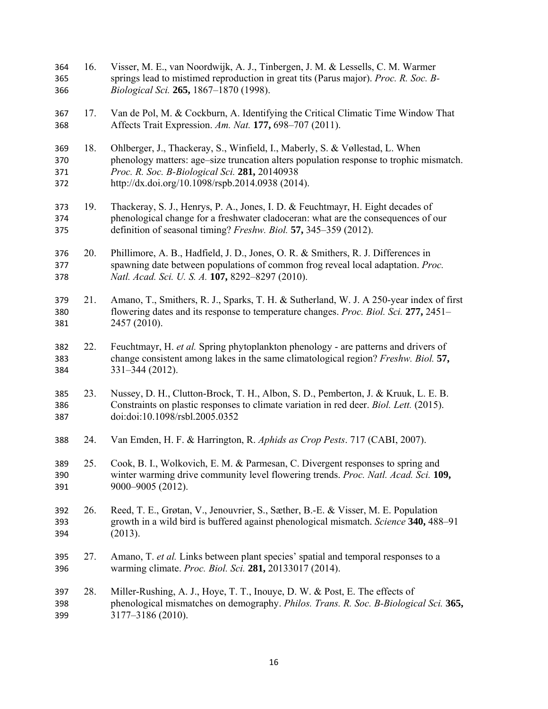16. Visser, M. E., van Noordwijk, A. J., Tinbergen, J. M. & Lessells, C. M. Warmer springs lead to mistimed reproduction in great tits (Parus major). *Proc. R. Soc. B-Biological Sci.* **265,** 1867–1870 (1998). 17. Van de Pol, M. & Cockburn, A. Identifying the Critical Climatic Time Window That Affects Trait Expression. *Am. Nat.* **177,** 698–707 (2011). 18. Ohlberger, J., Thackeray, S., Winfield, I., Maberly, S. & Vøllestad, L. When phenology matters: age–size truncation alters population response to trophic mismatch. *Proc. R. Soc. B-Biological Sci.* **281,** 20140938 http://dx.doi.org/10.1098/rspb.2014.0938 (2014). 19. Thackeray, S. J., Henrys, P. A., Jones, I. D. & Feuchtmayr, H. Eight decades of phenological change for a freshwater cladoceran: what are the consequences of our definition of seasonal timing? *Freshw. Biol.* **57,** 345–359 (2012). 20. Phillimore, A. B., Hadfield, J. D., Jones, O. R. & Smithers, R. J. Differences in spawning date between populations of common frog reveal local adaptation. *Proc. Natl. Acad. Sci. U. S. A.* **107,** 8292–8297 (2010). 21. Amano, T., Smithers, R. J., Sparks, T. H. & Sutherland, W. J. A 250-year index of first flowering dates and its response to temperature changes. *Proc. Biol. Sci.* **277,** 2451– 2457 (2010). 22. Feuchtmayr, H. *et al.* Spring phytoplankton phenology - are patterns and drivers of change consistent among lakes in the same climatological region? *Freshw. Biol.* **57,** 331–344 (2012). 23. Nussey, D. H., Clutton-Brock, T. H., Albon, S. D., Pemberton, J. & Kruuk, L. E. B. Constraints on plastic responses to climate variation in red deer. *Biol. Lett.* (2015). doi:doi:10.1098/rsbl.2005.0352 24. Van Emden, H. F. & Harrington, R. *Aphids as Crop Pests*. 717 (CABI, 2007). 25. Cook, B. I., Wolkovich, E. M. & Parmesan, C. Divergent responses to spring and winter warming drive community level flowering trends. *Proc. Natl. Acad. Sci.* **109,** 9000–9005 (2012). 26. Reed, T. E., Grøtan, V., Jenouvrier, S., Sæther, B.-E. & Visser, M. E. Population growth in a wild bird is buffered against phenological mismatch. *Science* **340,** 488–91 (2013). 27. Amano, T. *et al.* Links between plant species' spatial and temporal responses to a warming climate. *Proc. Biol. Sci.* **281,** 20133017 (2014). 28. Miller-Rushing, A. J., Hoye, T. T., Inouye, D. W. & Post, E. The effects of phenological mismatches on demography. *Philos. Trans. R. Soc. B-Biological Sci.* **365,** 3177–3186 (2010).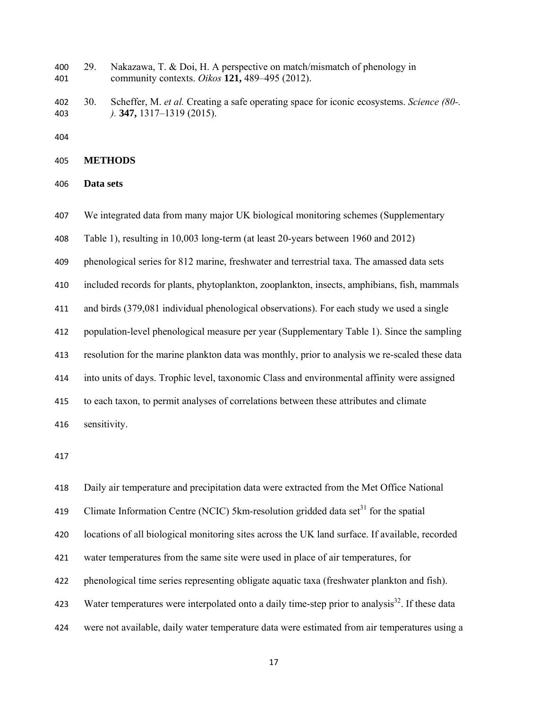29. Nakazawa, T. & Doi, H. A perspective on match/mismatch of phenology in community contexts. *Oikos* **121,** 489–495 (2012).

30. Scheffer, M. *et al.* Creating a safe operating space for iconic ecosystems. *Science (80-. ).* **347,** 1317–1319 (2015).

```
405 METHODS
```
**Data sets** 

We integrated data from many major UK biological monitoring schemes (Supplementary

Table 1), resulting in 10,003 long-term (at least 20-years between 1960 and 2012)

phenological series for 812 marine, freshwater and terrestrial taxa. The amassed data sets

included records for plants, phytoplankton, zooplankton, insects, amphibians, fish, mammals

and birds (379,081 individual phenological observations). For each study we used a single

population-level phenological measure per year (Supplementary Table 1). Since the sampling

resolution for the marine plankton data was monthly, prior to analysis we re-scaled these data

into units of days. Trophic level, taxonomic Class and environmental affinity were assigned

to each taxon, to permit analyses of correlations between these attributes and climate

sensitivity.

Daily air temperature and precipitation data were extracted from the Met Office National 419 Climate Information Centre (NCIC) 5km-resolution gridded data set<sup>31</sup> for the spatial locations of all biological monitoring sites across the UK land surface. If available, recorded water temperatures from the same site were used in place of air temperatures, for phenological time series representing obligate aquatic taxa (freshwater plankton and fish). 423 Water temperatures were interpolated onto a daily time-step prior to analysis<sup>32</sup>. If these data were not available, daily water temperature data were estimated from air temperatures using a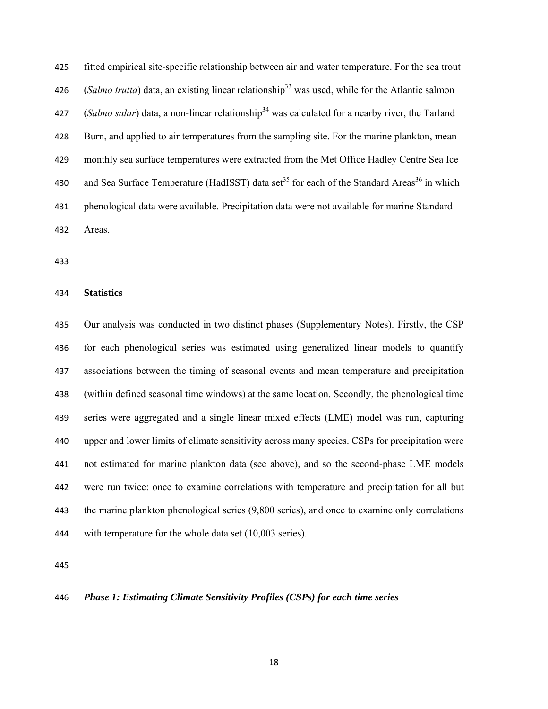fitted empirical site-specific relationship between air and water temperature. For the sea trout 426 (*Salmo trutta*) data, an existing linear relationship<sup>33</sup> was used, while for the Atlantic salmon 427 (*Salmo salar*) data, a non-linear relationship<sup>34</sup> was calculated for a nearby river, the Tarland Burn, and applied to air temperatures from the sampling site. For the marine plankton, mean monthly sea surface temperatures were extracted from the Met Office Hadley Centre Sea Ice 430 and Sea Surface Temperature (HadISST) data set<sup>35</sup> for each of the Standard Areas<sup>36</sup> in which phenological data were available. Precipitation data were not available for marine Standard Areas.

#### **Statistics**

Our analysis was conducted in two distinct phases (Supplementary Notes). Firstly, the CSP for each phenological series was estimated using generalized linear models to quantify associations between the timing of seasonal events and mean temperature and precipitation (within defined seasonal time windows) at the same location. Secondly, the phenological time series were aggregated and a single linear mixed effects (LME) model was run, capturing upper and lower limits of climate sensitivity across many species. CSPs for precipitation were not estimated for marine plankton data (see above), and so the second-phase LME models were run twice: once to examine correlations with temperature and precipitation for all but the marine plankton phenological series (9,800 series), and once to examine only correlations with temperature for the whole data set (10,003 series).

## *Phase 1: Estimating Climate Sensitivity Profiles (CSPs) for each time series*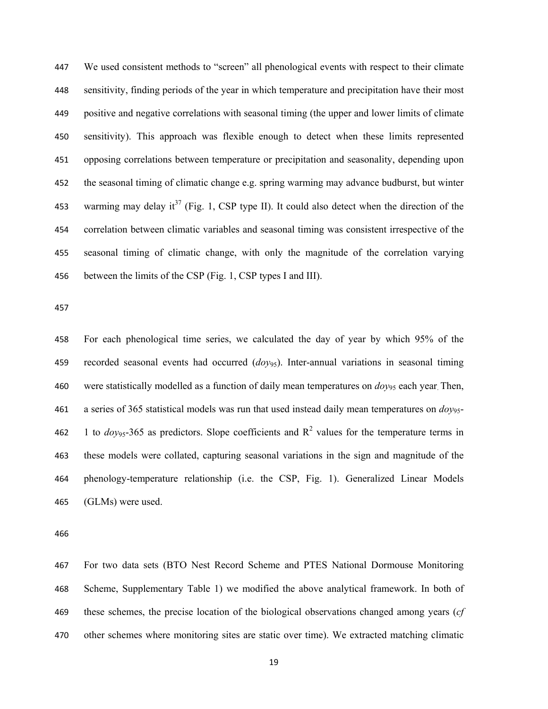We used consistent methods to "screen" all phenological events with respect to their climate sensitivity, finding periods of the year in which temperature and precipitation have their most positive and negative correlations with seasonal timing (the upper and lower limits of climate sensitivity). This approach was flexible enough to detect when these limits represented opposing correlations between temperature or precipitation and seasonality, depending upon the seasonal timing of climatic change e.g. spring warming may advance budburst, but winter 453 warming may delay it<sup>37</sup> (Fig. 1, CSP type II). It could also detect when the direction of the correlation between climatic variables and seasonal timing was consistent irrespective of the seasonal timing of climatic change, with only the magnitude of the correlation varying between the limits of the CSP (Fig. 1, CSP types I and III).

For each phenological time series, we calculated the day of year by which 95% of the recorded seasonal events had occurred (*doy*95). Inter-annual variations in seasonal timing were statistically modelled as a function of daily mean temperatures on *doy*95 each year. Then, a series of 365 statistical models was run that used instead daily mean temperatures on *doy*95- 462 1 to  $dov_{95}$ -365 as predictors. Slope coefficients and  $R^2$  values for the temperature terms in these models were collated, capturing seasonal variations in the sign and magnitude of the phenology-temperature relationship (i.e. the CSP, Fig. 1). Generalized Linear Models (GLMs) were used.

For two data sets (BTO Nest Record Scheme and PTES National Dormouse Monitoring Scheme, Supplementary Table 1) we modified the above analytical framework. In both of these schemes, the precise location of the biological observations changed among years (*cf* other schemes where monitoring sites are static over time). We extracted matching climatic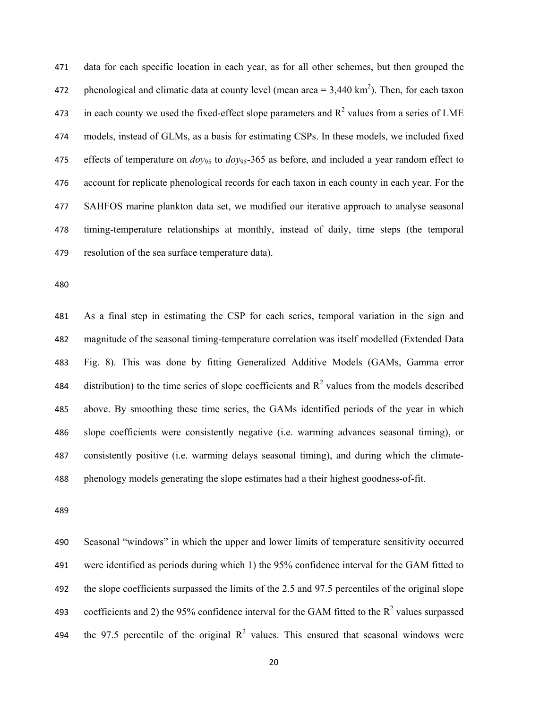data for each specific location in each year, as for all other schemes, but then grouped the 472 bhenological and climatic data at county level (mean area  $= 3.440 \text{ km}^2$ ). Then, for each taxon 473 in each county we used the fixed-effect slope parameters and  $R^2$  values from a series of LME models, instead of GLMs, as a basis for estimating CSPs. In these models, we included fixed effects of temperature on *doy*95 to *doy*95-365 as before, and included a year random effect to account for replicate phenological records for each taxon in each county in each year. For the SAHFOS marine plankton data set, we modified our iterative approach to analyse seasonal timing-temperature relationships at monthly, instead of daily, time steps (the temporal resolution of the sea surface temperature data).

As a final step in estimating the CSP for each series, temporal variation in the sign and magnitude of the seasonal timing-temperature correlation was itself modelled (Extended Data Fig. 8). This was done by fitting Generalized Additive Models (GAMs, Gamma error 484 distribution) to the time series of slope coefficients and  $R^2$  values from the models described above. By smoothing these time series, the GAMs identified periods of the year in which slope coefficients were consistently negative (i.e. warming advances seasonal timing), or consistently positive (i.e. warming delays seasonal timing), and during which the climate-phenology models generating the slope estimates had a their highest goodness-of-fit.

Seasonal "windows" in which the upper and lower limits of temperature sensitivity occurred were identified as periods during which 1) the 95% confidence interval for the GAM fitted to the slope coefficients surpassed the limits of the 2.5 and 97.5 percentiles of the original slope 493 coefficients and 2) the 95% confidence interval for the GAM fitted to the  $R^2$  values surpassed 494 the 97.5 percentile of the original  $R^2$  values. This ensured that seasonal windows were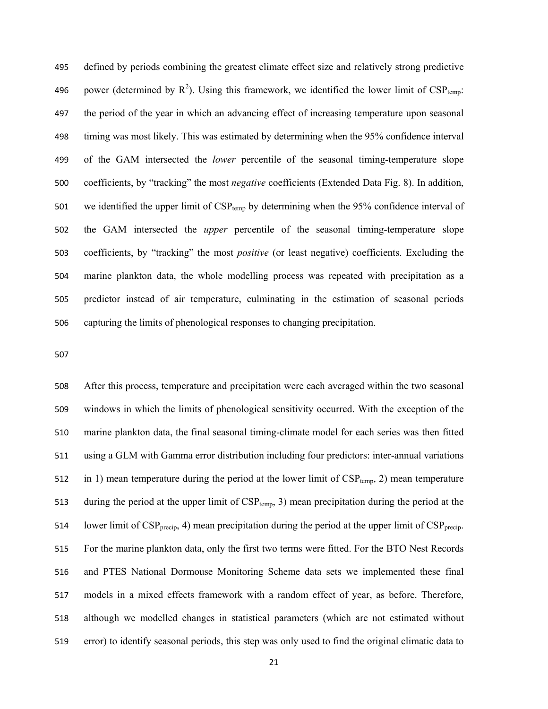defined by periods combining the greatest climate effect size and relatively strong predictive 496 power (determined by  $R^2$ ). Using this framework, we identified the lower limit of CSP<sub>temp</sub>: the period of the year in which an advancing effect of increasing temperature upon seasonal timing was most likely. This was estimated by determining when the 95% confidence interval of the GAM intersected the *lower* percentile of the seasonal timing-temperature slope coefficients, by "tracking" the most *negative* coefficients (Extended Data Fig. 8). In addition, 501 we identified the upper limit of  $CSP_{temp}$  by determining when the 95% confidence interval of the GAM intersected the *upper* percentile of the seasonal timing-temperature slope coefficients, by "tracking" the most *positive* (or least negative) coefficients. Excluding the marine plankton data, the whole modelling process was repeated with precipitation as a predictor instead of air temperature, culminating in the estimation of seasonal periods capturing the limits of phenological responses to changing precipitation.

After this process, temperature and precipitation were each averaged within the two seasonal windows in which the limits of phenological sensitivity occurred. With the exception of the marine plankton data, the final seasonal timing-climate model for each series was then fitted using a GLM with Gamma error distribution including four predictors: inter-annual variations 512 in 1) mean temperature during the period at the lower limit of  $CSP_{temp}$ , 2) mean temperature 513 during the period at the upper limit of  $CSP_{temp}$ , 3) mean precipitation during the period at the 514 lower limit of  $CSP_{\text{precup}}$ , 4) mean precipitation during the period at the upper limit of  $CSP_{\text{precup}}$ . For the marine plankton data, only the first two terms were fitted. For the BTO Nest Records and PTES National Dormouse Monitoring Scheme data sets we implemented these final models in a mixed effects framework with a random effect of year, as before. Therefore, although we modelled changes in statistical parameters (which are not estimated without error) to identify seasonal periods, this step was only used to find the original climatic data to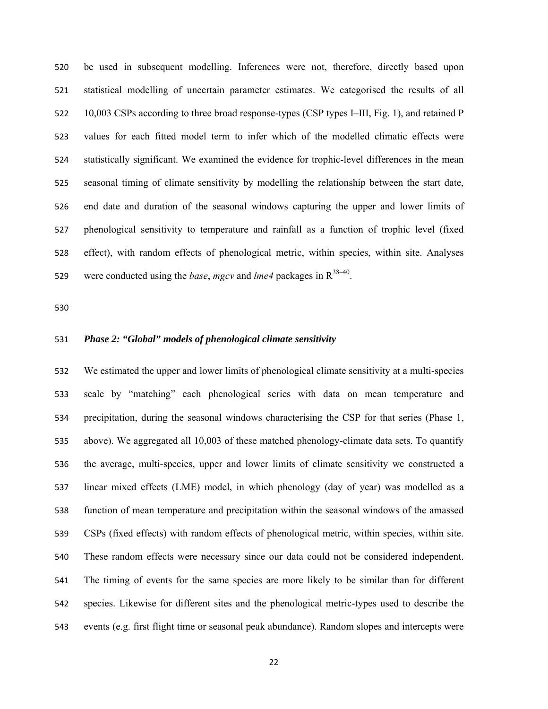be used in subsequent modelling. Inferences were not, therefore, directly based upon statistical modelling of uncertain parameter estimates. We categorised the results of all 10,003 CSPs according to three broad response-types (CSP types I–III, Fig. 1), and retained P values for each fitted model term to infer which of the modelled climatic effects were statistically significant. We examined the evidence for trophic-level differences in the mean seasonal timing of climate sensitivity by modelling the relationship between the start date, end date and duration of the seasonal windows capturing the upper and lower limits of phenological sensitivity to temperature and rainfall as a function of trophic level (fixed effect), with random effects of phenological metric, within species, within site. Analyses 529 were conducted using the *base*, *mgcv* and *lme4* packages in  $R^{38-40}$ .

# *Phase 2: "Global" models of phenological climate sensitivity*

We estimated the upper and lower limits of phenological climate sensitivity at a multi-species scale by "matching" each phenological series with data on mean temperature and precipitation, during the seasonal windows characterising the CSP for that series (Phase 1, above). We aggregated all 10,003 of these matched phenology-climate data sets. To quantify the average, multi-species, upper and lower limits of climate sensitivity we constructed a linear mixed effects (LME) model, in which phenology (day of year) was modelled as a function of mean temperature and precipitation within the seasonal windows of the amassed CSPs (fixed effects) with random effects of phenological metric, within species, within site. These random effects were necessary since our data could not be considered independent. The timing of events for the same species are more likely to be similar than for different species. Likewise for different sites and the phenological metric-types used to describe the events (e.g. first flight time or seasonal peak abundance). Random slopes and intercepts were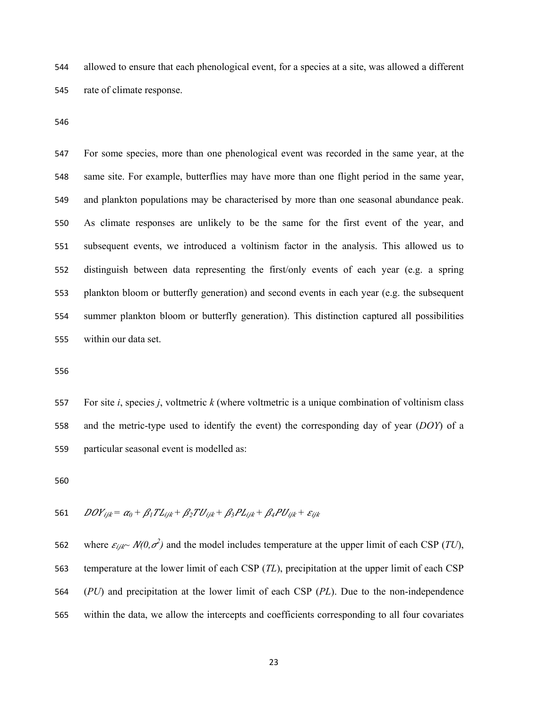allowed to ensure that each phenological event, for a species at a site, was allowed a different rate of climate response.

For some species, more than one phenological event was recorded in the same year, at the same site. For example, butterflies may have more than one flight period in the same year, and plankton populations may be characterised by more than one seasonal abundance peak. As climate responses are unlikely to be the same for the first event of the year, and subsequent events, we introduced a voltinism factor in the analysis. This allowed us to distinguish between data representing the first/only events of each year (e.g. a spring plankton bloom or butterfly generation) and second events in each year (e.g. the subsequent summer plankton bloom or butterfly generation). This distinction captured all possibilities within our data set.

For site *i*, species *j*, voltmetric *k* (where voltmetric is a unique combination of voltinism class and the metric-type used to identify the event) the corresponding day of year (*DOY*) of a particular seasonal event is modelled as:

561 
$$
DOY_{ijk} = \alpha_0 + \beta_1 T L_{ijk} + \beta_2 T U_{ijk} + \beta_3 P L_{ijk} + \beta_4 P U_{ijk} + \varepsilon_{ijk}
$$

562 where  $\varepsilon_{ijk} \sim N(0, \sigma^2)$  and the model includes temperature at the upper limit of each CSP (*TU*), temperature at the lower limit of each CSP (*TL*), precipitation at the upper limit of each CSP (*PU*) and precipitation at the lower limit of each CSP (*PL*). Due to the non-independence within the data, we allow the intercepts and coefficients corresponding to all four covariates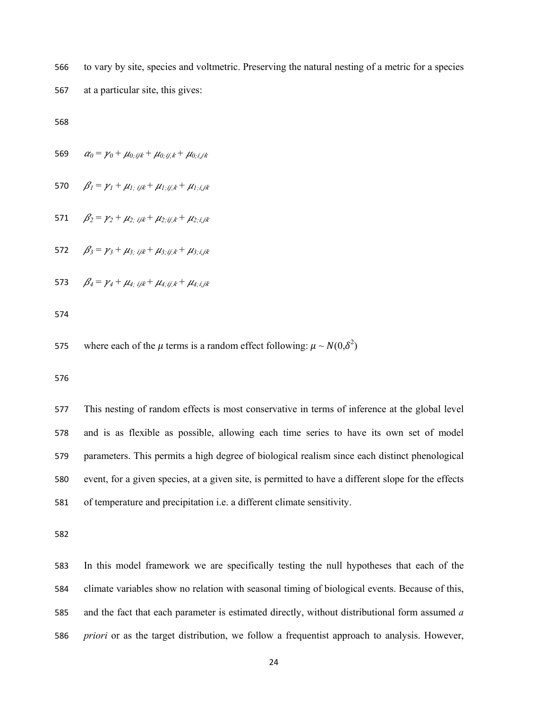to vary by site, species and voltmetric. Preserving the natural nesting of a metric for a species

at a particular site, this gives:

569 
$$
\alpha_0 = \gamma_0 + \mu_{0; ijk} + \mu_{0; ijk} + \mu_{0; i, jk}
$$

570  $\beta_l = \gamma_l + \mu_l$ ; ijk +  $\mu_l$ ; ijk +  $\mu_l$ ; ijk

571  $\beta_2 = \gamma_2 + \mu_{2; ijk} + \mu_{2; ijk} + \mu_{2; i,jk}$ 

572  $\beta_3 = \gamma_3 + \mu_{3; i, j, k} + \mu_{3; i, j, k} + \mu_{3; i, j, k}$ 

573  $\beta_4 = \gamma_4 + \mu_4$ *; ijk* +  $\mu_4$ *; ijk* 

575 where each of the  $\mu$  terms is a random effect following:  $\mu \sim N(0,\delta^2)$ 

This nesting of random effects is most conservative in terms of inference at the global level and is as flexible as possible, allowing each time series to have its own set of model parameters. This permits a high degree of biological realism since each distinct phenological event, for a given species, at a given site, is permitted to have a different slope for the effects of temperature and precipitation i.e. a different climate sensitivity.

In this model framework we are specifically testing the null hypotheses that each of the climate variables show no relation with seasonal timing of biological events. Because of this, and the fact that each parameter is estimated directly, without distributional form assumed *a priori* or as the target distribution, we follow a frequentist approach to analysis. However,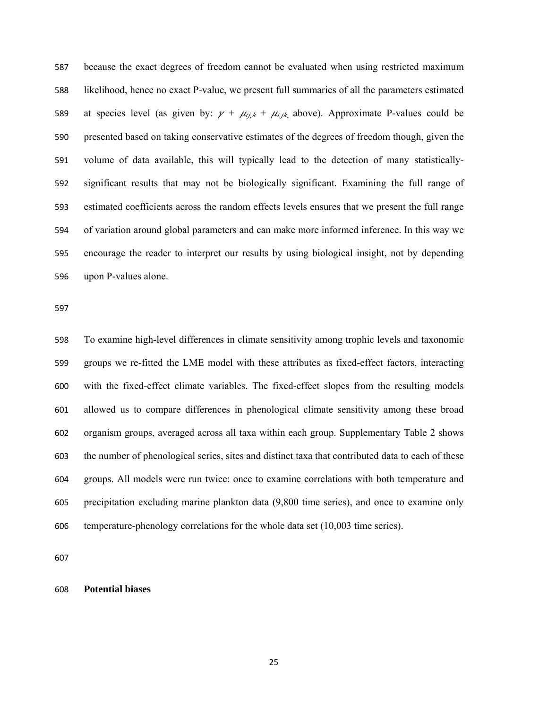because the exact degrees of freedom cannot be evaluated when using restricted maximum likelihood, hence no exact P-value, we present full summaries of all the parameters estimated 589 at species level (as given by:  $\gamma + \mu_{i,j,k} + \mu_{i,j,k}$  above). Approximate P-values could be presented based on taking conservative estimates of the degrees of freedom though, given the volume of data available, this will typically lead to the detection of many statistically-significant results that may not be biologically significant. Examining the full range of estimated coefficients across the random effects levels ensures that we present the full range of variation around global parameters and can make more informed inference. In this way we encourage the reader to interpret our results by using biological insight, not by depending upon P-values alone.

To examine high-level differences in climate sensitivity among trophic levels and taxonomic groups we re-fitted the LME model with these attributes as fixed-effect factors, interacting with the fixed-effect climate variables. The fixed-effect slopes from the resulting models allowed us to compare differences in phenological climate sensitivity among these broad organism groups, averaged across all taxa within each group. Supplementary Table 2 shows the number of phenological series, sites and distinct taxa that contributed data to each of these groups. All models were run twice: once to examine correlations with both temperature and precipitation excluding marine plankton data (9,800 time series), and once to examine only temperature-phenology correlations for the whole data set (10,003 time series).

**Potential biases**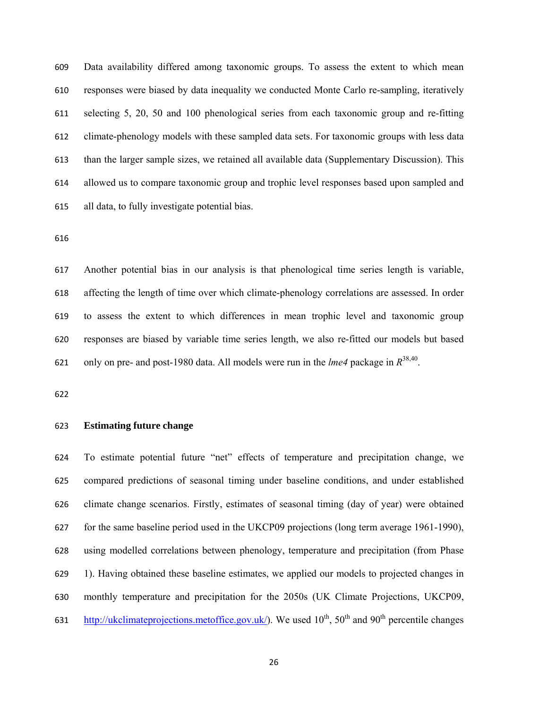Data availability differed among taxonomic groups. To assess the extent to which mean responses were biased by data inequality we conducted Monte Carlo re-sampling, iteratively selecting 5, 20, 50 and 100 phenological series from each taxonomic group and re-fitting climate-phenology models with these sampled data sets. For taxonomic groups with less data than the larger sample sizes, we retained all available data (Supplementary Discussion). This allowed us to compare taxonomic group and trophic level responses based upon sampled and all data, to fully investigate potential bias.

Another potential bias in our analysis is that phenological time series length is variable, affecting the length of time over which climate-phenology correlations are assessed. In order to assess the extent to which differences in mean trophic level and taxonomic group responses are biased by variable time series length, we also re-fitted our models but based 621 only on pre- and post-1980 data. All models were run in the *lme4* package in  $R^{38,40}$ .

#### **Estimating future change**

To estimate potential future "net" effects of temperature and precipitation change, we compared predictions of seasonal timing under baseline conditions, and under established climate change scenarios. Firstly, estimates of seasonal timing (day of year) were obtained for the same baseline period used in the UKCP09 projections (long term average 1961-1990), using modelled correlations between phenology, temperature and precipitation (from Phase 1). Having obtained these baseline estimates, we applied our models to projected changes in monthly temperature and precipitation for the 2050s (UK Climate Projections, UKCP09, 631 http://ukclimateprojections.metoffice.gov.uk/). We used  $10^{th}$ ,  $50^{th}$  and  $90^{th}$  percentile changes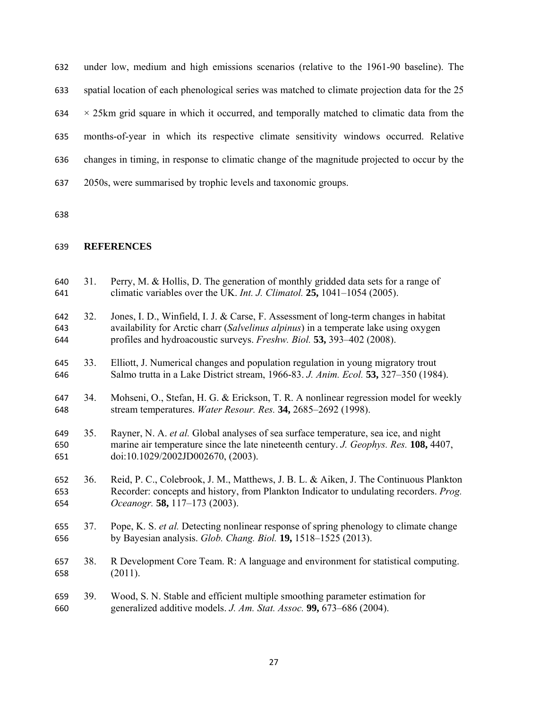under low, medium and high emissions scenarios (relative to the 1961-90 baseline). The spatial location of each phenological series was matched to climate projection data for the 25  $634 \times 25$  km grid square in which it occurred, and temporally matched to climatic data from the months-of-year in which its respective climate sensitivity windows occurred. Relative changes in timing, in response to climatic change of the magnitude projected to occur by the 2050s, were summarised by trophic levels and taxonomic groups.

# **REFERENCES**

| 640<br>641        | 31. | Perry, M. & Hollis, D. The generation of monthly gridded data sets for a range of<br>climatic variables over the UK. Int. J. Climatol. 25, 1041-1054 (2005).                                                                                         |
|-------------------|-----|------------------------------------------------------------------------------------------------------------------------------------------------------------------------------------------------------------------------------------------------------|
| 642<br>643<br>644 | 32. | Jones, I. D., Winfield, I. J. & Carse, F. Assessment of long-term changes in habitat<br>availability for Arctic charr (Salvelinus alpinus) in a temperate lake using oxygen<br>profiles and hydroacoustic surveys. Freshw. Biol. 53, 393-402 (2008). |
| 645<br>646        | 33. | Elliott, J. Numerical changes and population regulation in young migratory trout<br>Salmo trutta in a Lake District stream, 1966-83. J. Anim. Ecol. 53, 327-350 (1984).                                                                              |
| 647<br>648        | 34. | Mohseni, O., Stefan, H. G. & Erickson, T. R. A nonlinear regression model for weekly<br>stream temperatures. Water Resour. Res. 34, 2685-2692 (1998).                                                                                                |
| 649<br>650<br>651 | 35. | Rayner, N. A. et al. Global analyses of sea surface temperature, sea ice, and night<br>marine air temperature since the late nineteenth century. J. Geophys. Res. 108, 4407,<br>doi:10.1029/2002JD002670, (2003).                                    |
| 652<br>653<br>654 | 36. | Reid, P. C., Colebrook, J. M., Matthews, J. B. L. & Aiken, J. The Continuous Plankton<br>Recorder: concepts and history, from Plankton Indicator to undulating recorders. Prog.<br>Oceanogr. 58, 117-173 (2003).                                     |
| 655<br>656        | 37. | Pope, K. S. et al. Detecting nonlinear response of spring phenology to climate change<br>by Bayesian analysis. Glob. Chang. Biol. 19, 1518-1525 (2013).                                                                                              |
| 657<br>658        | 38. | R Development Core Team. R: A language and environment for statistical computing.<br>(2011).                                                                                                                                                         |
| 659<br>660        | 39. | Wood, S. N. Stable and efficient multiple smoothing parameter estimation for<br>generalized additive models. J. Am. Stat. Assoc. 99, 673-686 (2004).                                                                                                 |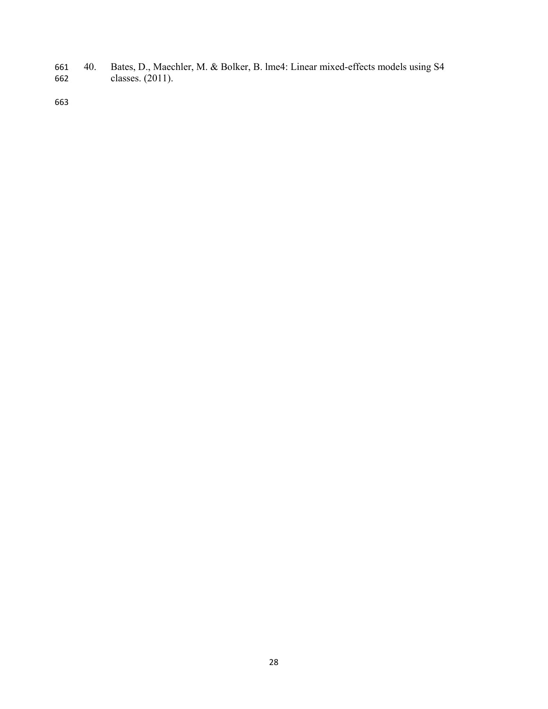40. Bates, D., Maechler, M. & Bolker, B. lme4: Linear mixed-effects models using S4 classes. (2011).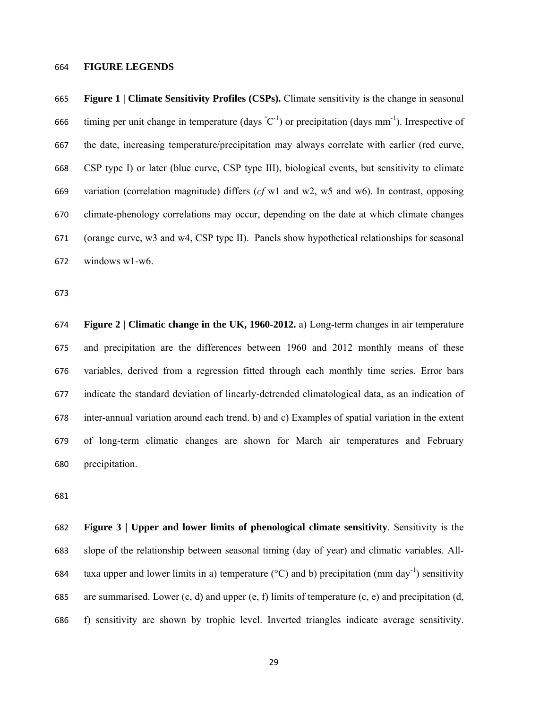#### **FIGURE LEGENDS**

**Figure 1 | Climate Sensitivity Profiles (CSPs).** Climate sensitivity is the change in seasonal 666 timing per unit change in temperature (days  ${}^{\circ}C^{-1}$ ) or precipitation (days mm<sup>-1</sup>). Irrespective of the date, increasing temperature/precipitation may always correlate with earlier (red curve, CSP type I) or later (blue curve, CSP type III), biological events, but sensitivity to climate variation (correlation magnitude) differs (*cf* w1 and w2, w5 and w6). In contrast, opposing climate-phenology correlations may occur, depending on the date at which climate changes (orange curve, w3 and w4, CSP type II). Panels show hypothetical relationships for seasonal windows w1-w6.

**Figure 2 | Climatic change in the UK, 1960-2012.** a) Long-term changes in air temperature and precipitation are the differences between 1960 and 2012 monthly means of these variables, derived from a regression fitted through each monthly time series. Error bars indicate the standard deviation of linearly-detrended climatological data, as an indication of inter-annual variation around each trend. b) and c) Examples of spatial variation in the extent of long-term climatic changes are shown for March air temperatures and February precipitation.

**Figure 3 | Upper and lower limits of phenological climate sensitivity**. Sensitivity is the slope of the relationship between seasonal timing (day of year) and climatic variables. All-684 taxa upper and lower limits in a) temperature ( $\degree$ C) and b) precipitation (mm day<sup>-1</sup>) sensitivity 685 are summarised. Lower  $(c, d)$  and upper  $(e, f)$  limits of temperature  $(c, e)$  and precipitation  $(d, f)$ f) sensitivity are shown by trophic level. Inverted triangles indicate average sensitivity.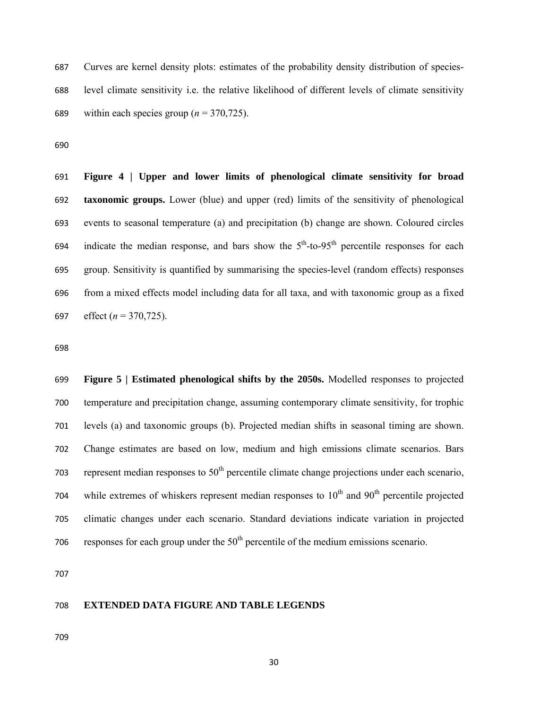Curves are kernel density plots: estimates of the probability density distribution of species-level climate sensitivity i.e. the relative likelihood of different levels of climate sensitivity 689 within each species group  $(n = 370, 725)$ .

**Figure 4 | Upper and lower limits of phenological climate sensitivity for broad taxonomic groups.** Lower (blue) and upper (red) limits of the sensitivity of phenological events to seasonal temperature (a) and precipitation (b) change are shown. Coloured circles 694 indicate the median response, and bars show the  $5<sup>th</sup>$ -to-95<sup>th</sup> percentile responses for each group. Sensitivity is quantified by summarising the species-level (random effects) responses from a mixed effects model including data for all taxa, and with taxonomic group as a fixed effect (*n* = 370,725).

**Figure 5 | Estimated phenological shifts by the 2050s.** Modelled responses to projected temperature and precipitation change, assuming contemporary climate sensitivity, for trophic levels (a) and taxonomic groups (b). Projected median shifts in seasonal timing are shown. Change estimates are based on low, medium and high emissions climate scenarios. Bars 703 represent median responses to  $50<sup>th</sup>$  percentile climate change projections under each scenario, 704 while extremes of whiskers represent median responses to  $10<sup>th</sup>$  and  $90<sup>th</sup>$  percentile projected climatic changes under each scenario. Standard deviations indicate variation in projected 706 responses for each group under the  $50<sup>th</sup>$  percentile of the medium emissions scenario.

#### **EXTENDED DATA FIGURE AND TABLE LEGENDS**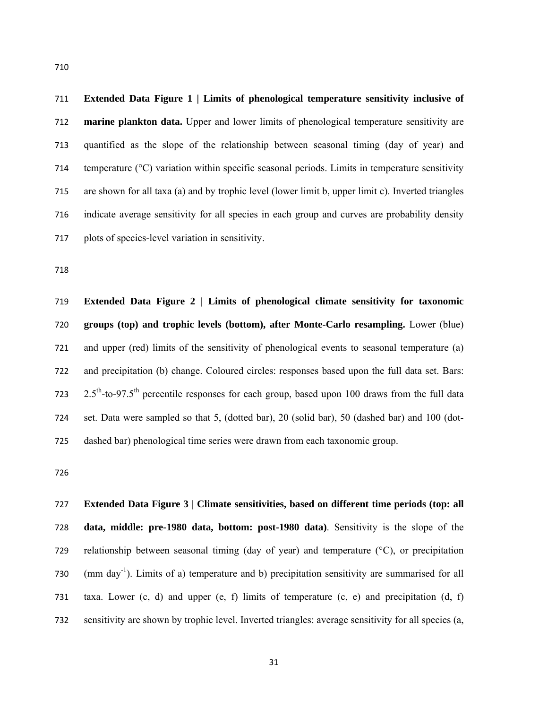**Extended Data Figure 1 | Limits of phenological temperature sensitivity inclusive of marine plankton data.** Upper and lower limits of phenological temperature sensitivity are quantified as the slope of the relationship between seasonal timing (day of year) and temperature (°C) variation within specific seasonal periods. Limits in temperature sensitivity are shown for all taxa (a) and by trophic level (lower limit b, upper limit c). Inverted triangles indicate average sensitivity for all species in each group and curves are probability density plots of species-level variation in sensitivity.

**Extended Data Figure 2 | Limits of phenological climate sensitivity for taxonomic groups (top) and trophic levels (bottom), after Monte-Carlo resampling.** Lower (blue) and upper (red) limits of the sensitivity of phenological events to seasonal temperature (a) and precipitation (b) change. Coloured circles: responses based upon the full data set. Bars: 723 2.5<sup>th</sup>-to-97.5<sup>th</sup> percentile responses for each group, based upon 100 draws from the full data set. Data were sampled so that 5, (dotted bar), 20 (solid bar), 50 (dashed bar) and 100 (dot-dashed bar) phenological time series were drawn from each taxonomic group.

**Extended Data Figure 3 | Climate sensitivities, based on different time periods (top: all data, middle: pre-1980 data, bottom: post-1980 data)**. Sensitivity is the slope of the 729 relationship between seasonal timing (day of year) and temperature  $(^{\circ}C)$ , or precipitation  $(730 \, \text{m})$  (mm day<sup>-1</sup>). Limits of a) temperature and b) precipitation sensitivity are summarised for all taxa. Lower (c, d) and upper (e, f) limits of temperature (c, e) and precipitation (d, f) sensitivity are shown by trophic level. Inverted triangles: average sensitivity for all species (a,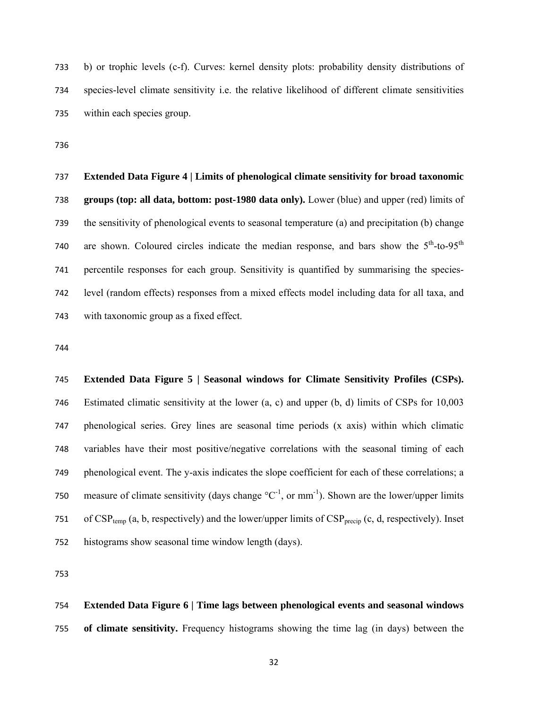b) or trophic levels (c-f). Curves: kernel density plots: probability density distributions of species-level climate sensitivity i.e. the relative likelihood of different climate sensitivities within each species group.

# **Extended Data Figure 4 | Limits of phenological climate sensitivity for broad taxonomic groups (top: all data, bottom: post-1980 data only).** Lower (blue) and upper (red) limits of the sensitivity of phenological events to seasonal temperature (a) and precipitation (b) change 740 are shown. Coloured circles indicate the median response, and bars show the  $5<sup>th</sup>$ -to-95<sup>th</sup> percentile responses for each group. Sensitivity is quantified by summarising the species-level (random effects) responses from a mixed effects model including data for all taxa, and with taxonomic group as a fixed effect.

**Extended Data Figure 5 | Seasonal windows for Climate Sensitivity Profiles (CSPs).**  Estimated climatic sensitivity at the lower (a, c) and upper (b, d) limits of CSPs for 10,003 phenological series. Grey lines are seasonal time periods (x axis) within which climatic variables have their most positive/negative correlations with the seasonal timing of each phenological event. The y-axis indicates the slope coefficient for each of these correlations; a 750 measure of climate sensitivity (days change  ${}^{\circ}C^{-1}$ , or mm<sup>-1</sup>). Shown are the lower/upper limits 751 of  $CSP_{temp}$  (a, b, respectively) and the lower/upper limits of  $CSP_{precin}$  (c, d, respectively). Inset histograms show seasonal time window length (days).

**Extended Data Figure 6 | Time lags between phenological events and seasonal windows of climate sensitivity.** Frequency histograms showing the time lag (in days) between the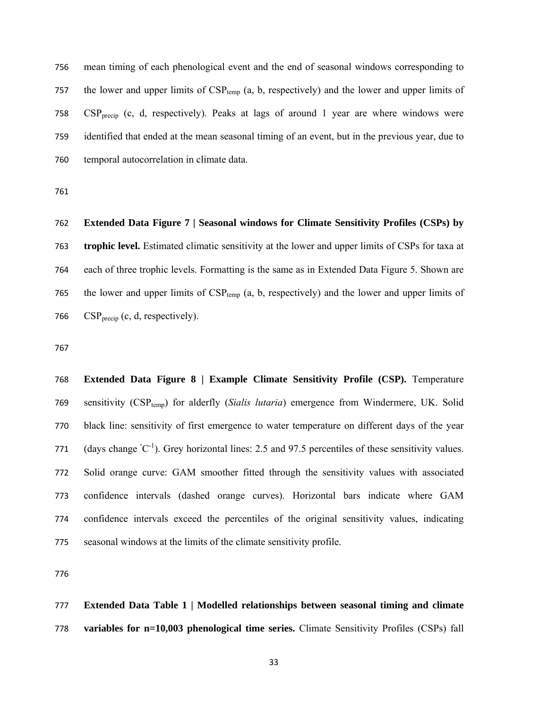mean timing of each phenological event and the end of seasonal windows corresponding to 757 the lower and upper limits of  $CSP_{temp}$  (a, b, respectively) and the lower and upper limits of  $CSP<sub>treei</sub>$  (c, d, respectively). Peaks at lags of around 1 year are where windows were identified that ended at the mean seasonal timing of an event, but in the previous year, due to temporal autocorrelation in climate data.

**Extended Data Figure 7 | Seasonal windows for Climate Sensitivity Profiles (CSPs) by trophic level.** Estimated climatic sensitivity at the lower and upper limits of CSPs for taxa at each of three trophic levels. Formatting is the same as in Extended Data Figure 5. Shown are 765 the lower and upper limits of  $CSP_{temp}$  (a, b, respectively) and the lower and upper limits of  $CSP<sub>precision</sub>$  (c, d, respectively).

**Extended Data Figure 8 | Example Climate Sensitivity Profile (CSP).** Temperature 769 sensitivity (CSP<sub>temp</sub>) for alderfly (*Sialis lutaria*) emergence from Windermere, UK. Solid black line: sensitivity of first emergence to water temperature on different days of the year 771 (days change  $^{\circ}C^{-1}$ ). Grey horizontal lines: 2.5 and 97.5 percentiles of these sensitivity values. Solid orange curve: GAM smoother fitted through the sensitivity values with associated confidence intervals (dashed orange curves). Horizontal bars indicate where GAM confidence intervals exceed the percentiles of the original sensitivity values, indicating seasonal windows at the limits of the climate sensitivity profile.

**Extended Data Table 1 | Modelled relationships between seasonal timing and climate variables for n=10,003 phenological time series.** Climate Sensitivity Profiles (CSPs) fall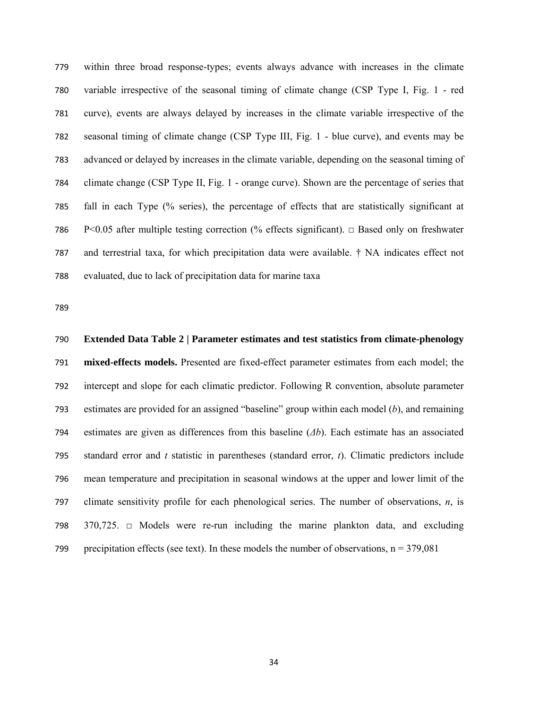within three broad response-types; events always advance with increases in the climate variable irrespective of the seasonal timing of climate change (CSP Type I, Fig. 1 - red curve), events are always delayed by increases in the climate variable irrespective of the seasonal timing of climate change (CSP Type III, Fig. 1 - blue curve), and events may be advanced or delayed by increases in the climate variable, depending on the seasonal timing of climate change (CSP Type II, Fig. 1 - orange curve). Shown are the percentage of series that fall in each Type (% series), the percentage of effects that are statistically significant at 786 P<0.05 after multiple testing correction (% effects significant).  $\Box$  Based only on freshwater and terrestrial taxa, for which precipitation data were available. † NA indicates effect not evaluated, due to lack of precipitation data for marine taxa

**Extended Data Table 2 | Parameter estimates and test statistics from climate-phenology mixed-effects models.** Presented are fixed-effect parameter estimates from each model; the intercept and slope for each climatic predictor. Following R convention, absolute parameter estimates are provided for an assigned "baseline" group within each model (*b*), and remaining estimates are given as differences from this baseline (*Δb*). Each estimate has an associated standard error and *t* statistic in parentheses (standard error, *t*). Climatic predictors include mean temperature and precipitation in seasonal windows at the upper and lower limit of the climate sensitivity profile for each phenological series. The number of observations, *n*, is 370,725. □ Models were re-run including the marine plankton data, and excluding 799 precipitation effects (see text). In these models the number of observations,  $n = 379,081$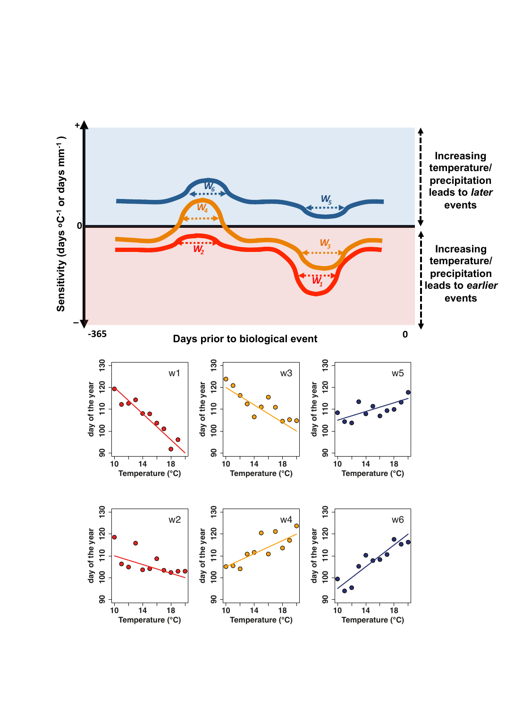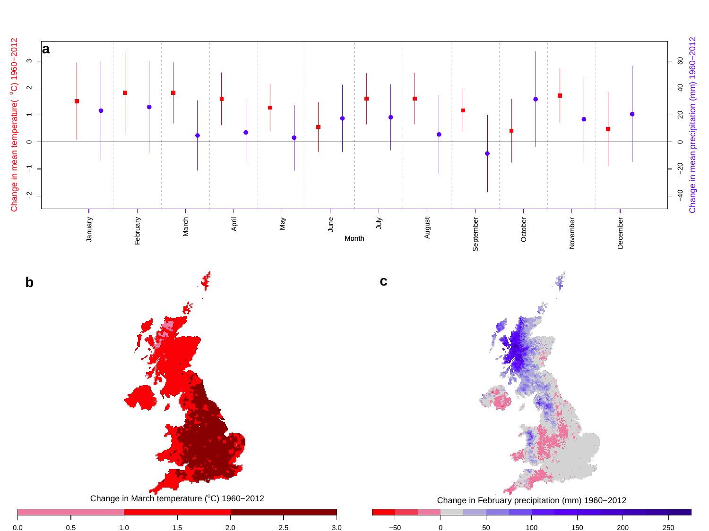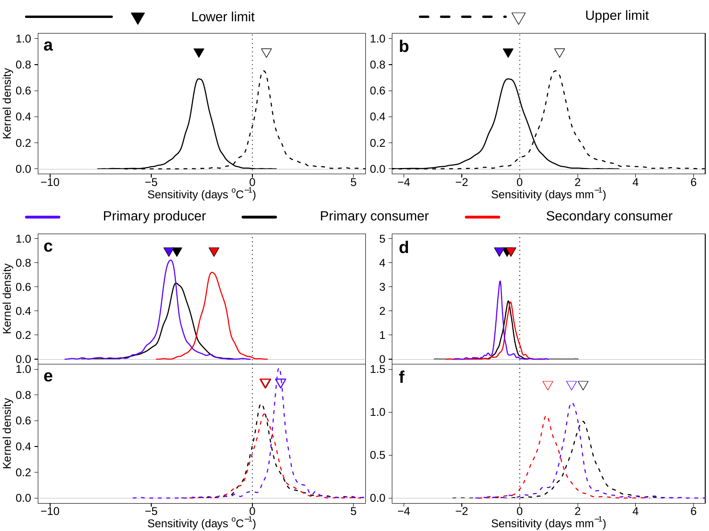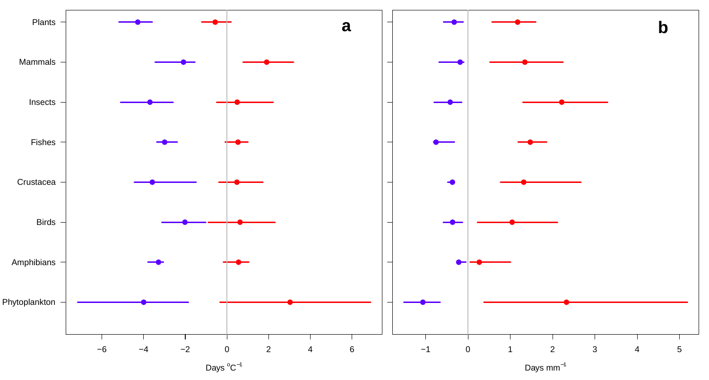